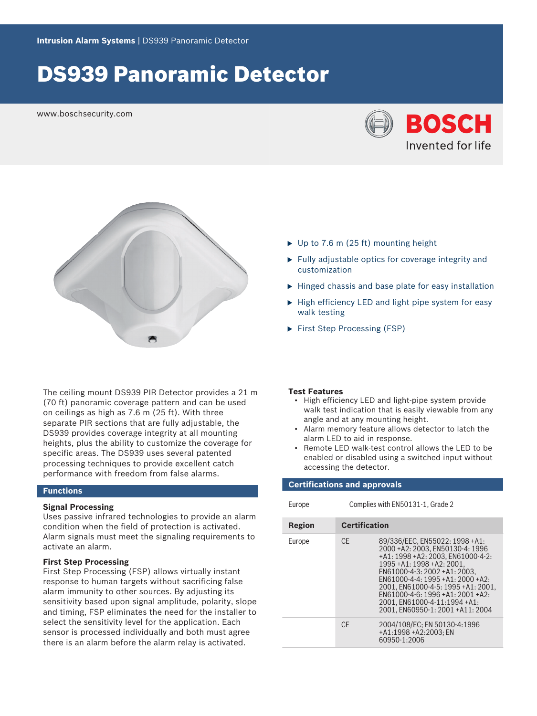# DS939 Panoramic Detector

www.boschsecurity.com





The ceiling mount DS939 PIR Detector provides a 21 m (70 ft) panoramic coverage pattern and can be used on ceilings as high as 7.6 m (25 ft). With three separate PIR sections that are fully adjustable, the DS939 provides coverage integrity at all mounting heights, plus the ability to customize the coverage for specific areas. The DS939 uses several patented processing techniques to provide excellent catch performance with freedom from false alarms.

#### **Functions**

#### **Signal Processing**

Uses passive infrared technologies to provide an alarm condition when the field of protection is activated. Alarm signals must meet the signaling requirements to activate an alarm.

#### **First Step Processing**

First Step Processing (FSP) allows virtually instant response to human targets without sacrificing false alarm immunity to other sources. By adjusting its sensitivity based upon signal amplitude, polarity, slope and timing, FSP eliminates the need for the installer to select the sensitivity level for the application. Each sensor is processed individually and both must agree there is an alarm before the alarm relay is activated.

- $\triangleright$  Up to 7.6 m (25 ft) mounting height
- $\blacktriangleright$  Fully adjustable optics for coverage integrity and customization
- $\blacktriangleright$  Hinged chassis and base plate for easy installation
- $\blacktriangleright$  High efficiency LED and light pipe system for easy walk testing
- $\blacktriangleright$  First Step Processing (FSP)

#### **Test Features**

- High efficiency LED and light-pipe system provide walk test indication that is easily viewable from any angle and at any mounting height.
- Alarm memory feature allows detector to latch the alarm LED to aid in response.
- Remote LED walk-test control allows the LED to be enabled or disabled using a switched input without accessing the detector.

#### **Certifications and approvals**

| ÷ | × |  |
|---|---|--|
|   |   |  |
|   |   |  |
|   |   |  |

Europe Complies with EN50131-1, Grade 2

| Region | <b>Certification</b> |                                                                                                                                                                                                                                                                                                                                                   |
|--------|----------------------|---------------------------------------------------------------------------------------------------------------------------------------------------------------------------------------------------------------------------------------------------------------------------------------------------------------------------------------------------|
| Europe | CF.                  | 89/336/EEC, EN55022: 1998 +A1:<br>2000+A2: 2003. EN50130-4: 1996<br>+A1: 1998 +A2: 2003. EN61000-4-2:<br>1995 + A1: 1998 + A2: 2001.<br>EN61000-4-3: 2002 +A1: 2003.<br>$FN61000-4-4.1995+41.2000+42.$<br>2001, EN61000-4-5: 1995 +A1: 2001.<br>$FN61000-4-6:1996+41:2001+42$<br>2001. EN61000-4-11:1994 +A1:<br>2001. EN60950-1: 2001 +A11: 2004 |
|        | C <sub>F</sub>       | 2004/108/EC; EN 50130-4:1996<br>+A1:1998 +A2:2003: EN<br>60950-1:2006                                                                                                                                                                                                                                                                             |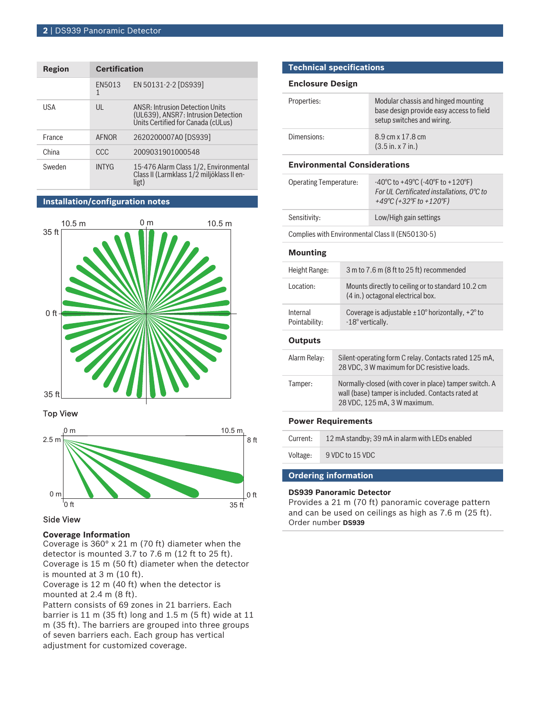| Region | <b>Certification</b> |                                                                                                                     |
|--------|----------------------|---------------------------------------------------------------------------------------------------------------------|
|        | FN5013<br>1          | EN 50131-2-2 [DS939]                                                                                                |
| USA    | $\mathsf{U}$         | <b>ANSR: Intrusion Detection Units</b><br>(UL639), ANSR7: Intrusion Detection<br>Units Certified for Canada (cULus) |
| France | AFNOR                | 2620200007A0 [DS939]                                                                                                |
| China  | CCC                  | 2009031901000548                                                                                                    |
| Sweden | <b>INTYG</b>         | 15-476 Alarm Class 1/2, Environmental<br>Class II (Larmklass 1/2 miljöklass II en-<br>ligt)                         |

## **Installation/configuration notes**



#### Top View



### Side View

#### **Coverage Information**

Coverage is 360° x 21 m (70 ft) diameter when the detector is mounted 3.7 to 7.6 m (12 ft to 25 ft). Coverage is 15 m (50 ft) diameter when the detector is mounted at 3 m (10 ft).

Coverage is 12 m (40 ft) when the detector is mounted at 2.4 m (8 ft).

Pattern consists of 69 zones in 21 barriers. Each barrier is 11 m (35 ft) long and 1.5 m (5 ft) wide at 11 m (35 ft). The barriers are grouped into three groups of seven barriers each. Each group has vertical adjustment for customized coverage.

### **Technical specifications**

#### **Enclosure Design**

| Properties: | Modular chassis and hinged mounting<br>base design provide easy access to field<br>setup switches and wiring. |
|-------------|---------------------------------------------------------------------------------------------------------------|
| Dimensions: | 8.9 cm x 17.8 cm<br>$(3.5 \text{ in. x } 7 \text{ in.})$                                                      |

### **Environmental Considerations**

| <b>Operating Temperature:</b>                    | $-40^{\circ}$ C to $+49^{\circ}$ C ( $-40^{\circ}$ F to $+120^{\circ}$ F)<br>For UL Certificated installations, 0°C to<br>+49°C (+32°F to +120°F) |
|--------------------------------------------------|---------------------------------------------------------------------------------------------------------------------------------------------------|
| Sensitivity:                                     | Low/High gain settings                                                                                                                            |
| Complies with Environmental Class II (EN50130-5) |                                                                                                                                                   |

#### **Mounting**

| Height Range:             | 3 m to 7.6 m (8 ft to 25 ft) recommended                                                                                                    |  |
|---------------------------|---------------------------------------------------------------------------------------------------------------------------------------------|--|
| Location:                 | Mounts directly to ceiling or to standard 10.2 cm<br>(4 in.) octagonal electrical box.                                                      |  |
| Internal<br>Pointability: | Coverage is adjustable $\pm 10^{\circ}$ horizontally, $+2^{\circ}$ to<br>-18° vertically.                                                   |  |
| <b>Outputs</b>            |                                                                                                                                             |  |
| Alarm Relay:              | Silent-operating form C relay. Contacts rated 125 mA,<br>28 VDC, 3 W maximum for DC resistive loads.                                        |  |
| Tamper:                   | Normally-closed (with cover in place) tamper switch. A<br>wall (base) tamper is included. Contacts rated at<br>28 VDC, 125 mA, 3 W maximum. |  |

#### **Power Requirements**

| Current: | 12 mA standby; 39 mA in alarm with LEDs enabled |
|----------|-------------------------------------------------|
| Voltage: | 9 VDC to 15 VDC                                 |
|          |                                                 |

# **Ordering information**

### **DS939 Panoramic Detector**

Provides a 21 m (70 ft) panoramic coverage pattern and can be used on ceilings as high as 7.6 m (25 ft). Order number **DS939**